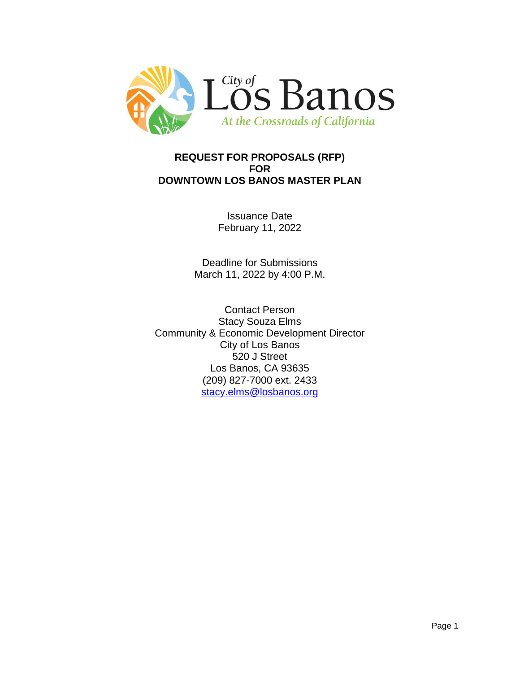

# **REQUEST FOR PROPOSALS (RFP) FOR DOWNTOWN LOS BANOS MASTER PLAN**

Issuance Date February 11, 2022

Deadline for Submissions March 11, 2022 by 4:00 P.M.

Contact Person Stacy Souza Elms Community & Economic Development Director City of Los Banos 520 J Street Los Banos, CA 93635 (209) 827-7000 ext. 2433 [stacy.elms@losbanos.org](mailto:stacy.elms@losbanos.org)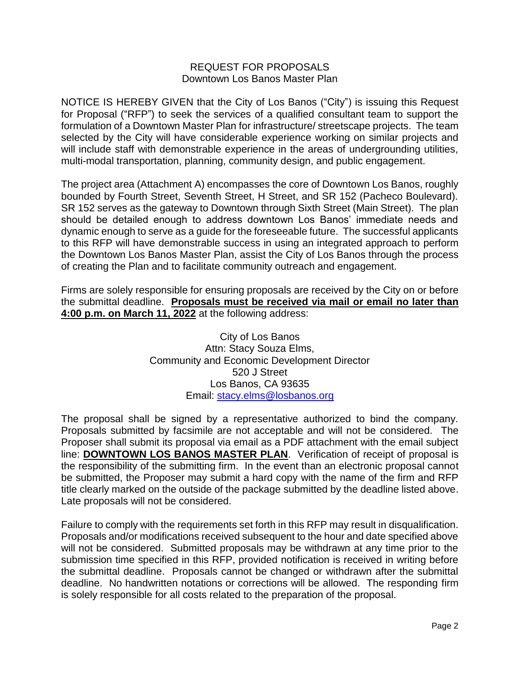#### REQUEST FOR PROPOSALS Downtown Los Banos Master Plan

NOTICE IS HEREBY GIVEN that the City of Los Banos ("City") is issuing this Request for Proposal ("RFP") to seek the services of a qualified consultant team to support the formulation of a Downtown Master Plan for infrastructure/ streetscape projects. The team selected by the City will have considerable experience working on similar projects and will include staff with demonstrable experience in the areas of undergrounding utilities, multi-modal transportation, planning, community design, and public engagement.

The project area (Attachment A) encompasses the core of Downtown Los Banos, roughly bounded by Fourth Street, Seventh Street, H Street, and SR 152 (Pacheco Boulevard). SR 152 serves as the gateway to Downtown through Sixth Street (Main Street). The plan should be detailed enough to address downtown Los Banos' immediate needs and dynamic enough to serve as a guide for the foreseeable future. The successful applicants to this RFP will have demonstrable success in using an integrated approach to perform the Downtown Los Banos Master Plan, assist the City of Los Banos through the process of creating the Plan and to facilitate community outreach and engagement.

Firms are solely responsible for ensuring proposals are received by the City on or before the submittal deadline. **Proposals must be received via mail or email no later than 4:00 p.m. on March 11, 2022** at the following address:

> City of Los Banos Attn: Stacy Souza Elms, Community and Economic Development Director 520 J Street Los Banos, CA 93635 Email: [stacy.elms@losbanos.org](mailto:stacy.elms@losbanos.org)

The proposal shall be signed by a representative authorized to bind the company. Proposals submitted by facsimile are not acceptable and will not be considered. The Proposer shall submit its proposal via email as a PDF attachment with the email subject line: **DOWNTOWN LOS BANOS MASTER PLAN**. Verification of receipt of proposal is the responsibility of the submitting firm. In the event than an electronic proposal cannot be submitted, the Proposer may submit a hard copy with the name of the firm and RFP title clearly marked on the outside of the package submitted by the deadline listed above. Late proposals will not be considered.

Failure to comply with the requirements set forth in this RFP may result in disqualification. Proposals and/or modifications received subsequent to the hour and date specified above will not be considered. Submitted proposals may be withdrawn at any time prior to the submission time specified in this RFP, provided notification is received in writing before the submittal deadline. Proposals cannot be changed or withdrawn after the submittal deadline. No handwritten notations or corrections will be allowed. The responding firm is solely responsible for all costs related to the preparation of the proposal.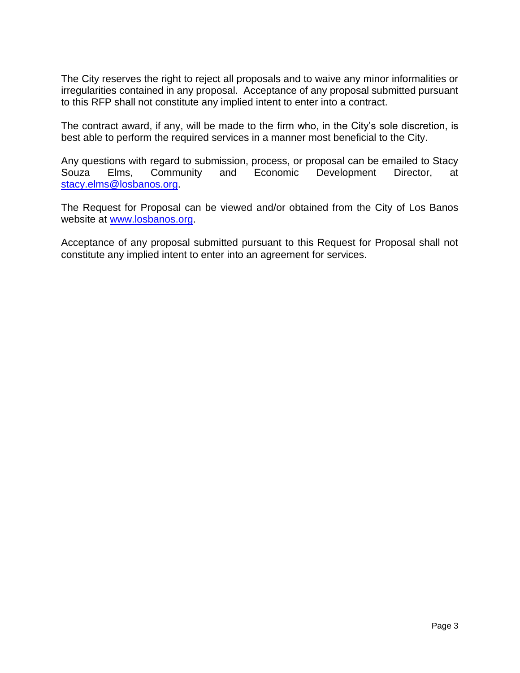The City reserves the right to reject all proposals and to waive any minor informalities or irregularities contained in any proposal. Acceptance of any proposal submitted pursuant to this RFP shall not constitute any implied intent to enter into a contract.

The contract award, if any, will be made to the firm who, in the City's sole discretion, is best able to perform the required services in a manner most beneficial to the City.

Any questions with regard to submission, process, or proposal can be emailed to Stacy Souza Elms, Community and Economic Development Director, at [stacy.elms@losbanos.org.](mailto:stacy.elms@losbanos.org)

The Request for Proposal can be viewed and/or obtained from the City of Los Banos website at [www.losbanos.org.](http://www.losbanos.org/)

Acceptance of any proposal submitted pursuant to this Request for Proposal shall not constitute any implied intent to enter into an agreement for services.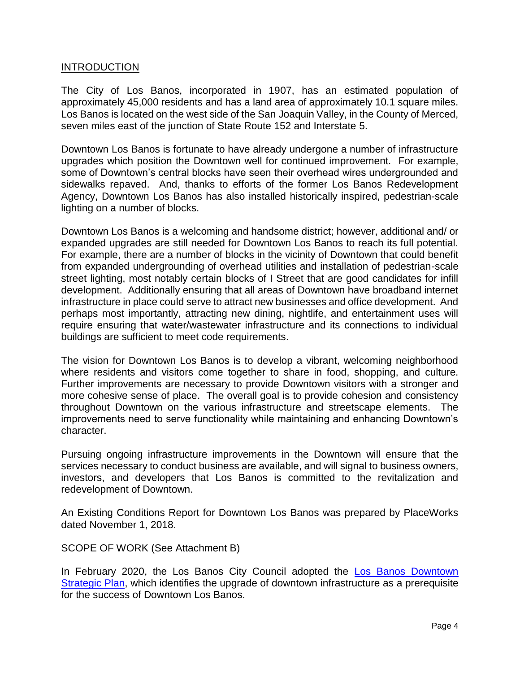#### **INTRODUCTION**

The City of Los Banos, incorporated in 1907, has an estimated population of approximately 45,000 residents and has a land area of approximately 10.1 square miles. Los Banos is located on the west side of the San Joaquin Valley, in the County of Merced, seven miles east of the junction of State Route 152 and Interstate 5.

Downtown Los Banos is fortunate to have already undergone a number of infrastructure upgrades which position the Downtown well for continued improvement. For example, some of Downtown's central blocks have seen their overhead wires undergrounded and sidewalks repaved. And, thanks to efforts of the former Los Banos Redevelopment Agency, Downtown Los Banos has also installed historically inspired, pedestrian-scale lighting on a number of blocks.

Downtown Los Banos is a welcoming and handsome district; however, additional and/ or expanded upgrades are still needed for Downtown Los Banos to reach its full potential. For example, there are a number of blocks in the vicinity of Downtown that could benefit from expanded undergrounding of overhead utilities and installation of pedestrian-scale street lighting, most notably certain blocks of I Street that are good candidates for infill development. Additionally ensuring that all areas of Downtown have broadband internet infrastructure in place could serve to attract new businesses and office development. And perhaps most importantly, attracting new dining, nightlife, and entertainment uses will require ensuring that water/wastewater infrastructure and its connections to individual buildings are sufficient to meet code requirements.

The vision for Downtown Los Banos is to develop a vibrant, welcoming neighborhood where residents and visitors come together to share in food, shopping, and culture. Further improvements are necessary to provide Downtown visitors with a stronger and more cohesive sense of place. The overall goal is to provide cohesion and consistency throughout Downtown on the various infrastructure and streetscape elements. The improvements need to serve functionality while maintaining and enhancing Downtown's character.

Pursuing ongoing infrastructure improvements in the Downtown will ensure that the services necessary to conduct business are available, and will signal to business owners, investors, and developers that Los Banos is committed to the revitalization and redevelopment of Downtown.

An Existing Conditions Report for Downtown Los Banos was prepared by PlaceWorks dated November 1, 2018.

# SCOPE OF WORK (See Attachment B)

In February 2020, the Los Banos City Council adopted the [Los Banos Downtown](https://losbanos.org/wp-content/uploads/2021/06/Los-Banos-Downtown-Strategic-Plan-FINAL-cc-adopted-2.5.20.pdf)  [Strategic](https://losbanos.org/wp-content/uploads/2021/06/Los-Banos-Downtown-Strategic-Plan-FINAL-cc-adopted-2.5.20.pdf) Plan, which identifies the upgrade of downtown infrastructure as a prerequisite for the success of Downtown Los Banos.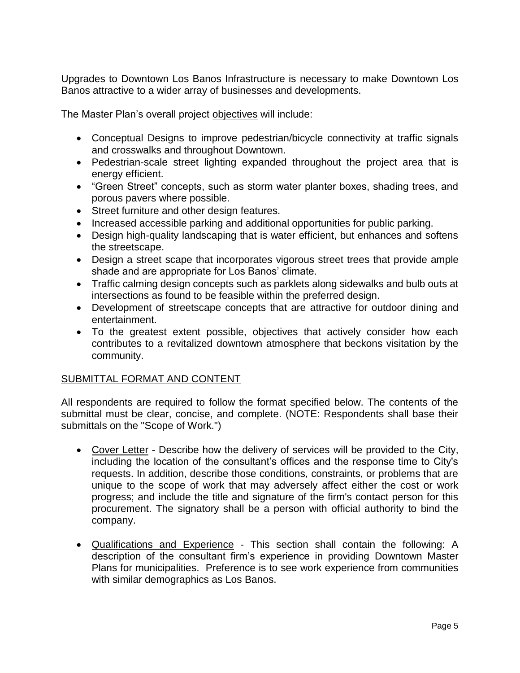Upgrades to Downtown Los Banos Infrastructure is necessary to make Downtown Los Banos attractive to a wider array of businesses and developments.

The Master Plan's overall project objectives will include:

- Conceptual Designs to improve pedestrian/bicycle connectivity at traffic signals and crosswalks and throughout Downtown.
- Pedestrian-scale street lighting expanded throughout the project area that is energy efficient.
- "Green Street" concepts, such as storm water planter boxes, shading trees, and porous pavers where possible.
- Street furniture and other design features.
- Increased accessible parking and additional opportunities for public parking.
- Design high-quality landscaping that is water efficient, but enhances and softens the streetscape.
- Design a street scape that incorporates vigorous street trees that provide ample shade and are appropriate for Los Banos' climate.
- Traffic calming design concepts such as parklets along sidewalks and bulb outs at intersections as found to be feasible within the preferred design.
- Development of streetscape concepts that are attractive for outdoor dining and entertainment.
- To the greatest extent possible, objectives that actively consider how each contributes to a revitalized downtown atmosphere that beckons visitation by the community.

# SUBMITTAL FORMAT AND CONTENT

All respondents are required to follow the format specified below. The contents of the submittal must be clear, concise, and complete. (NOTE: Respondents shall base their submittals on the "Scope of Work.")

- Cover Letter Describe how the delivery of services will be provided to the City, including the location of the consultant's offices and the response time to City's requests. In addition, describe those conditions, constraints, or problems that are unique to the scope of work that may adversely affect either the cost or work progress; and include the title and signature of the firm's contact person for this procurement. The signatory shall be a person with official authority to bind the company.
- Qualifications and Experience This section shall contain the following: A description of the consultant firm's experience in providing Downtown Master Plans for municipalities. Preference is to see work experience from communities with similar demographics as Los Banos.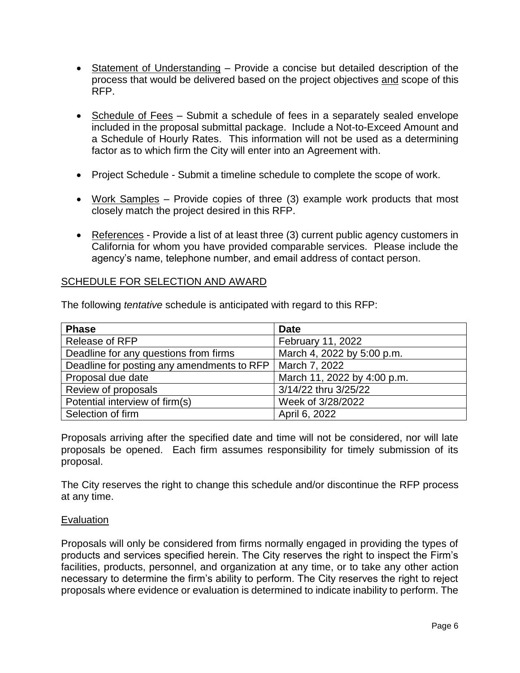- Statement of Understanding Provide a concise but detailed description of the process that would be delivered based on the project objectives and scope of this RFP.
- Schedule of Fees Submit a schedule of fees in a separately sealed envelope included in the proposal submittal package. Include a Not-to-Exceed Amount and a Schedule of Hourly Rates. This information will not be used as a determining factor as to which firm the City will enter into an Agreement with.
- Project Schedule Submit a timeline schedule to complete the scope of work.
- Work Samples Provide copies of three (3) example work products that most closely match the project desired in this RFP.
- References Provide a list of at least three (3) current public agency customers in California for whom you have provided comparable services. Please include the agency's name, telephone number, and email address of contact person.

# SCHEDULE FOR SELECTION AND AWARD

The following *tentative* schedule is anticipated with regard to this RFP:

| <b>Phase</b>                               | <b>Date</b>                 |
|--------------------------------------------|-----------------------------|
| Release of RFP                             | February 11, 2022           |
| Deadline for any questions from firms      | March 4, 2022 by 5:00 p.m.  |
| Deadline for posting any amendments to RFP | March 7, 2022               |
| Proposal due date                          | March 11, 2022 by 4:00 p.m. |
| Review of proposals                        | 3/14/22 thru 3/25/22        |
| Potential interview of firm(s)             | Week of 3/28/2022           |
| Selection of firm                          | April 6, 2022               |

Proposals arriving after the specified date and time will not be considered, nor will late proposals be opened. Each firm assumes responsibility for timely submission of its proposal.

The City reserves the right to change this schedule and/or discontinue the RFP process at any time.

#### Evaluation

Proposals will only be considered from firms normally engaged in providing the types of products and services specified herein. The City reserves the right to inspect the Firm's facilities, products, personnel, and organization at any time, or to take any other action necessary to determine the firm's ability to perform. The City reserves the right to reject proposals where evidence or evaluation is determined to indicate inability to perform. The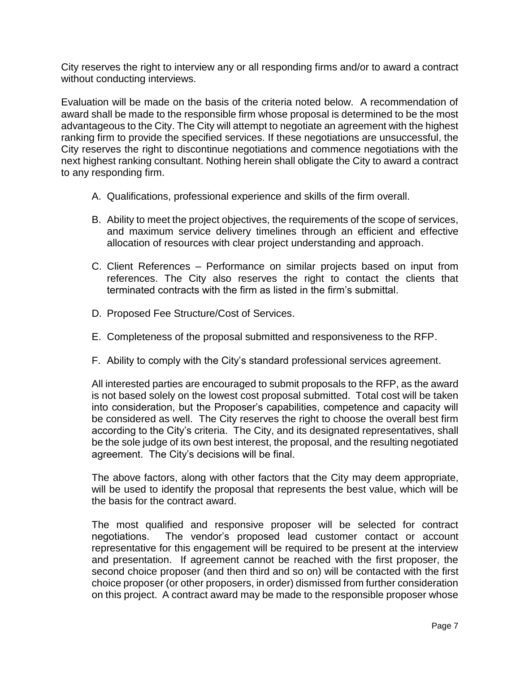City reserves the right to interview any or all responding firms and/or to award a contract without conducting interviews.

Evaluation will be made on the basis of the criteria noted below. A recommendation of award shall be made to the responsible firm whose proposal is determined to be the most advantageous to the City. The City will attempt to negotiate an agreement with the highest ranking firm to provide the specified services. If these negotiations are unsuccessful, the City reserves the right to discontinue negotiations and commence negotiations with the next highest ranking consultant. Nothing herein shall obligate the City to award a contract to any responding firm.

- A. Qualifications, professional experience and skills of the firm overall.
- B. Ability to meet the project objectives, the requirements of the scope of services, and maximum service delivery timelines through an efficient and effective allocation of resources with clear project understanding and approach.
- C. Client References Performance on similar projects based on input from references. The City also reserves the right to contact the clients that terminated contracts with the firm as listed in the firm's submittal.
- D. Proposed Fee Structure/Cost of Services.
- E. Completeness of the proposal submitted and responsiveness to the RFP.
- F. Ability to comply with the City's standard professional services agreement.

All interested parties are encouraged to submit proposals to the RFP, as the award is not based solely on the lowest cost proposal submitted. Total cost will be taken into consideration, but the Proposer's capabilities, competence and capacity will be considered as well. The City reserves the right to choose the overall best firm according to the City's criteria. The City, and its designated representatives, shall be the sole judge of its own best interest, the proposal, and the resulting negotiated agreement. The City's decisions will be final.

The above factors, along with other factors that the City may deem appropriate, will be used to identify the proposal that represents the best value, which will be the basis for the contract award.

The most qualified and responsive proposer will be selected for contract negotiations. The vendor's proposed lead customer contact or account representative for this engagement will be required to be present at the interview and presentation. If agreement cannot be reached with the first proposer, the second choice proposer (and then third and so on) will be contacted with the first choice proposer (or other proposers, in order) dismissed from further consideration on this project. A contract award may be made to the responsible proposer whose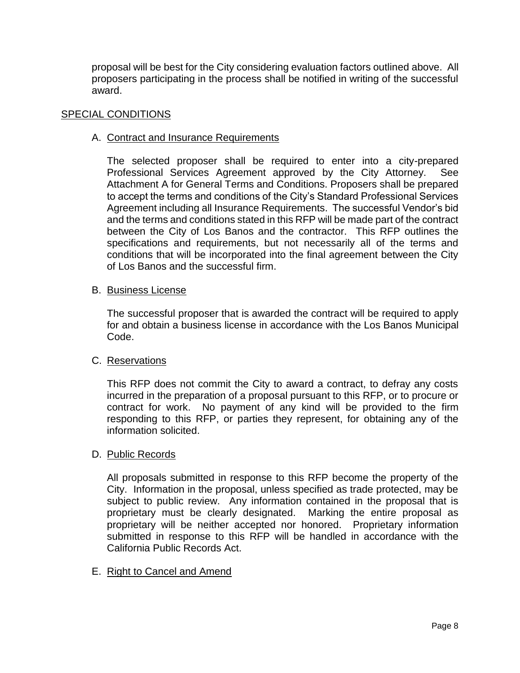proposal will be best for the City considering evaluation factors outlined above. All proposers participating in the process shall be notified in writing of the successful award.

#### SPECIAL CONDITIONS

#### A. Contract and Insurance Requirements

The selected proposer shall be required to enter into a city-prepared Professional Services Agreement approved by the City Attorney. See Attachment A for General Terms and Conditions. Proposers shall be prepared to accept the terms and conditions of the City's Standard Professional Services Agreement including all Insurance Requirements. The successful Vendor's bid and the terms and conditions stated in this RFP will be made part of the contract between the City of Los Banos and the contractor. This RFP outlines the specifications and requirements, but not necessarily all of the terms and conditions that will be incorporated into the final agreement between the City of Los Banos and the successful firm.

#### B. Business License

The successful proposer that is awarded the contract will be required to apply for and obtain a business license in accordance with the Los Banos Municipal Code.

#### C. Reservations

This RFP does not commit the City to award a contract, to defray any costs incurred in the preparation of a proposal pursuant to this RFP, or to procure or contract for work. No payment of any kind will be provided to the firm responding to this RFP, or parties they represent, for obtaining any of the information solicited.

#### D. Public Records

All proposals submitted in response to this RFP become the property of the City. Information in the proposal, unless specified as trade protected, may be subject to public review. Any information contained in the proposal that is proprietary must be clearly designated. Marking the entire proposal as proprietary will be neither accepted nor honored. Proprietary information submitted in response to this RFP will be handled in accordance with the California Public Records Act.

E. Right to Cancel and Amend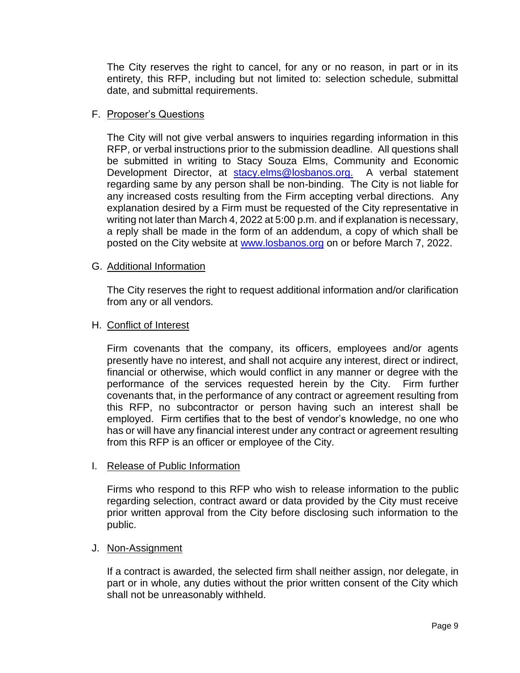The City reserves the right to cancel, for any or no reason, in part or in its entirety, this RFP, including but not limited to: selection schedule, submittal date, and submittal requirements.

# F. Proposer's Questions

The City will not give verbal answers to inquiries regarding information in this RFP, or verbal instructions prior to the submission deadline. All questions shall be submitted in writing to Stacy Souza Elms, Community and Economic Development Director, at [stacy.elms@losbanos.org.](mailto:stacy.elms@losbanos.org) A verbal statement regarding same by any person shall be non-binding. The City is not liable for any increased costs resulting from the Firm accepting verbal directions. Any explanation desired by a Firm must be requested of the City representative in writing not later than March 4, 2022 at 5:00 p.m. and if explanation is necessary, a reply shall be made in the form of an addendum, a copy of which shall be posted on the City website at [www.losbanos.org](http://www.losbanos.org/) on or before March 7, 2022.

# G. Additional Information

The City reserves the right to request additional information and/or clarification from any or all vendors.

# H. Conflict of Interest

Firm covenants that the company, its officers, employees and/or agents presently have no interest, and shall not acquire any interest, direct or indirect, financial or otherwise, which would conflict in any manner or degree with the performance of the services requested herein by the City. Firm further covenants that, in the performance of any contract or agreement resulting from this RFP, no subcontractor or person having such an interest shall be employed. Firm certifies that to the best of vendor's knowledge, no one who has or will have any financial interest under any contract or agreement resulting from this RFP is an officer or employee of the City.

# I. Release of Public Information

Firms who respond to this RFP who wish to release information to the public regarding selection, contract award or data provided by the City must receive prior written approval from the City before disclosing such information to the public.

# J. Non-Assignment

If a contract is awarded, the selected firm shall neither assign, nor delegate, in part or in whole, any duties without the prior written consent of the City which shall not be unreasonably withheld.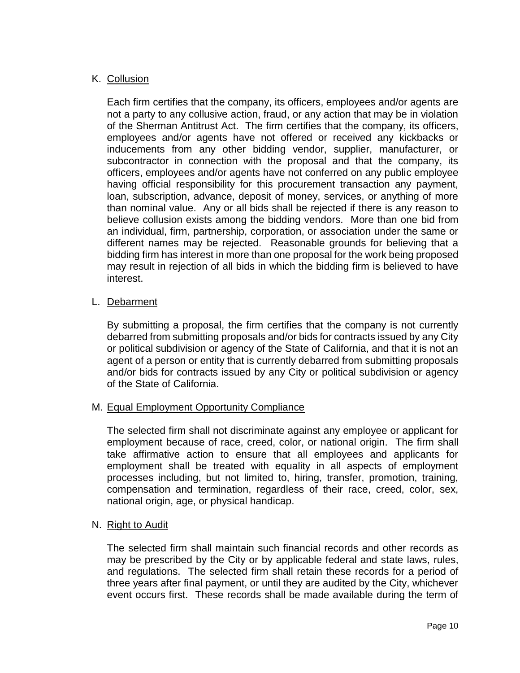# K. Collusion

Each firm certifies that the company, its officers, employees and/or agents are not a party to any collusive action, fraud, or any action that may be in violation of the Sherman Antitrust Act. The firm certifies that the company, its officers, employees and/or agents have not offered or received any kickbacks or inducements from any other bidding vendor, supplier, manufacturer, or subcontractor in connection with the proposal and that the company, its officers, employees and/or agents have not conferred on any public employee having official responsibility for this procurement transaction any payment, loan, subscription, advance, deposit of money, services, or anything of more than nominal value. Any or all bids shall be rejected if there is any reason to believe collusion exists among the bidding vendors. More than one bid from an individual, firm, partnership, corporation, or association under the same or different names may be rejected. Reasonable grounds for believing that a bidding firm has interest in more than one proposal for the work being proposed may result in rejection of all bids in which the bidding firm is believed to have interest.

# L. Debarment

By submitting a proposal, the firm certifies that the company is not currently debarred from submitting proposals and/or bids for contracts issued by any City or political subdivision or agency of the State of California, and that it is not an agent of a person or entity that is currently debarred from submitting proposals and/or bids for contracts issued by any City or political subdivision or agency of the State of California.

# M. Equal Employment Opportunity Compliance

The selected firm shall not discriminate against any employee or applicant for employment because of race, creed, color, or national origin. The firm shall take affirmative action to ensure that all employees and applicants for employment shall be treated with equality in all aspects of employment processes including, but not limited to, hiring, transfer, promotion, training, compensation and termination, regardless of their race, creed, color, sex, national origin, age, or physical handicap.

# N. Right to Audit

The selected firm shall maintain such financial records and other records as may be prescribed by the City or by applicable federal and state laws, rules, and regulations. The selected firm shall retain these records for a period of three years after final payment, or until they are audited by the City, whichever event occurs first. These records shall be made available during the term of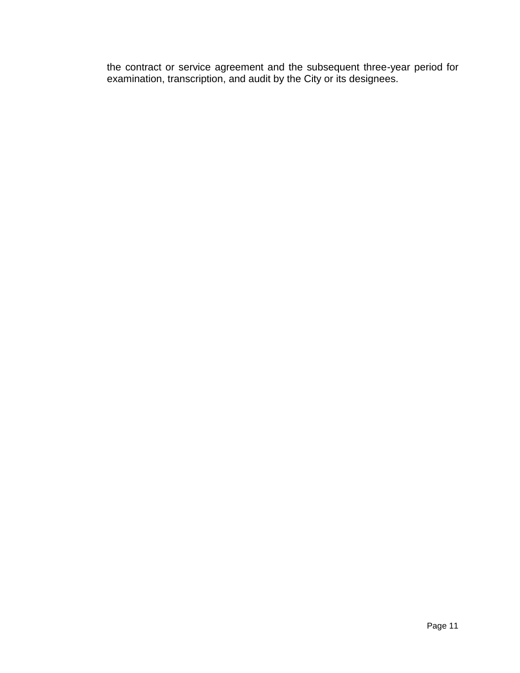the contract or service agreement and the subsequent three-year period for examination, transcription, and audit by the City or its designees.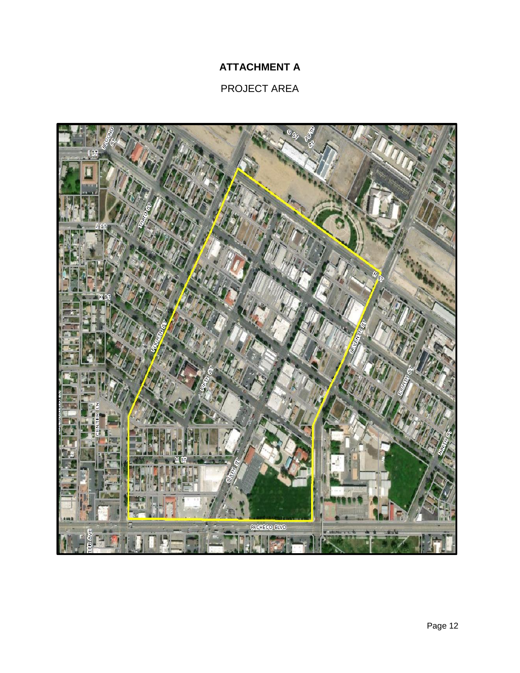# **ATTACHMENT A**

# PROJECT AREA

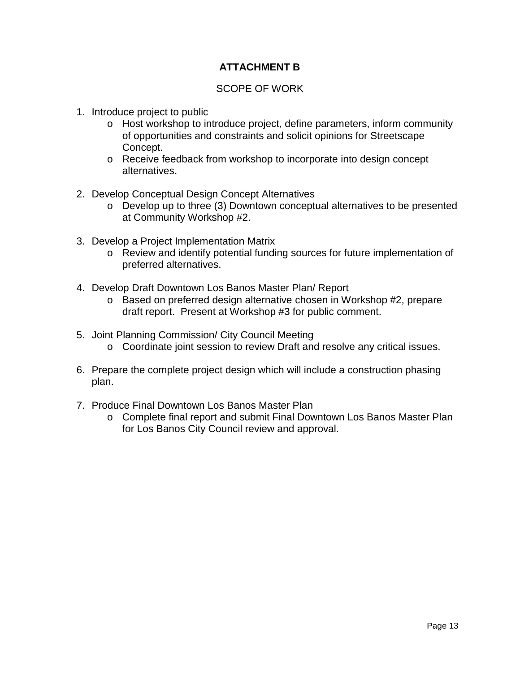# **ATTACHMENT B**

# SCOPE OF WORK

- 1. Introduce project to public
	- o Host workshop to introduce project, define parameters, inform community of opportunities and constraints and solicit opinions for Streetscape Concept.
	- o Receive feedback from workshop to incorporate into design concept alternatives.
- 2. Develop Conceptual Design Concept Alternatives
	- o Develop up to three (3) Downtown conceptual alternatives to be presented at Community Workshop #2.
- 3. Develop a Project Implementation Matrix
	- o Review and identify potential funding sources for future implementation of preferred alternatives.
- 4. Develop Draft Downtown Los Banos Master Plan/ Report
	- o Based on preferred design alternative chosen in Workshop #2, prepare draft report. Present at Workshop #3 for public comment.
- 5. Joint Planning Commission/ City Council Meeting
	- o Coordinate joint session to review Draft and resolve any critical issues.
- 6. Prepare the complete project design which will include a construction phasing plan.
- 7. Produce Final Downtown Los Banos Master Plan
	- o Complete final report and submit Final Downtown Los Banos Master Plan for Los Banos City Council review and approval.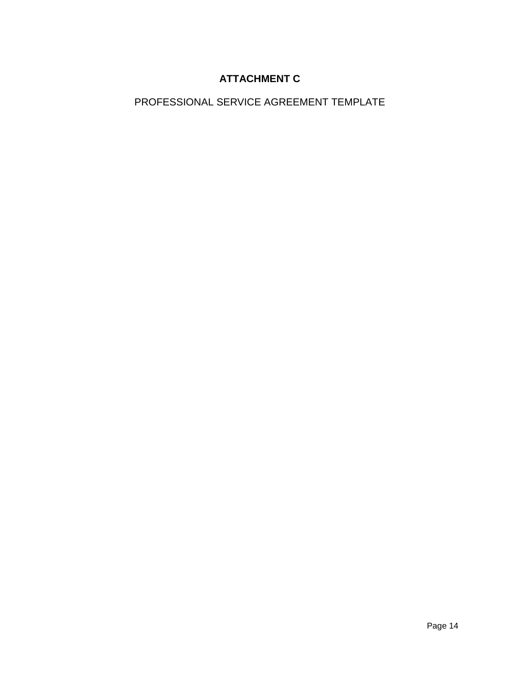# **ATTACHMENT C**

PROFESSIONAL SERVICE AGREEMENT TEMPLATE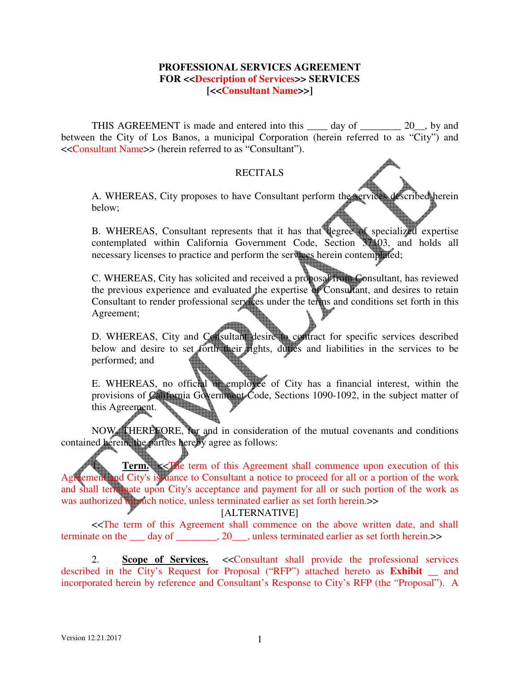#### **PROFESSIONAL SERVICES AGREEMENT FOR <<Description of Services>> SERVICES [<<Consultant Name>>]**

THIS AGREEMENT is made and entered into this \_\_\_\_\_ day of \_\_\_\_\_\_\_\_ 20\_, by and between the City of Los Banos, a municipal Corporation (herein referred to as "City") and <<Consultant Name>> (herein referred to as "Consultant").

#### **RECITALS**

A. WHEREAS, City proposes to have Consultant perform the services described herein below;

B. WHEREAS, Consultant represents that it has that degree of specialized expertise contemplated within California Government Code, Section 37103, and holds all necessary licenses to practice and perform the services herein contemplated;

C. WHEREAS, City has solicited and received a proposal from Consultant, has reviewed the previous experience and evaluated the expertise of Consultant, and desires to retain Consultant to render professional services under the terms and conditions set forth in this Agreement;

D. WHEREAS, City and Consultant desire to contract for specific services described below and desire to set forth their rights, duties and liabilities in the services to be performed; and

E. WHEREAS, no official or employee of City has a financial interest, within the provisions of California Government Code, Sections 1090-1092, in the subject matter of this Agreement. this Agreement.

NOW, THEREFORE, for and in consideration of the mutual covenants and conditions contained herein, the parties hereby agree as follows:

**Term.**  $\leq$  The term of this Agreement shall commence upon execution of this **Example 10** Agreement and City's issuance to Consultant a notice to proceed for all or a portion of the work and shall terminate upon City's acceptance and payment for all or such portion of the work as was authorized by such notice, unless terminated earlier as set forth herein.>>

#### [ALTERNATIVE]

<<The term of this Agreement shall commence on the above written date, and shall terminate on the day of \_\_\_\_\_\_\_, 20\_\_\_, unless terminated earlier as set forth herein.>>

2. **Scope of Services.** <<Consultant shall provide the professional services described in the City's Request for Proposal ("RFP") attached hereto as **Exhibit \_\_** and incorporated herein by reference and Consultant's Response to City's RFP (the "Proposal"). A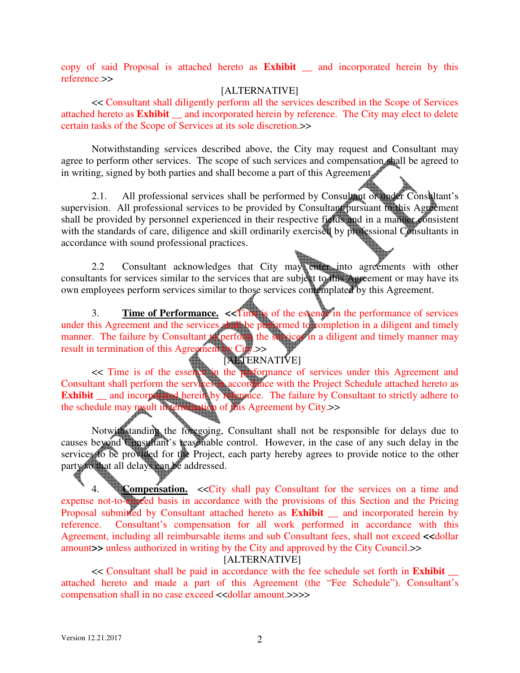copy of said Proposal is attached hereto as **Exhibit \_\_** and incorporated herein by this reference.>>

#### [ALTERNATIVE]

<< Consultant shall diligently perform all the services described in the Scope of Services attached hereto as **Exhibit \_\_** and incorporated herein by reference. The City may elect to delete certain tasks of the Scope of Services at its sole discretion.>>

Notwithstanding services described above, the City may request and Consultant may agree to perform other services. The scope of such services and compensation shall be agreed to in writing, signed by both parties and shall become a part of this Agreement.

2.1. All professional services shall be performed by Consultant or under Consultant's supervision. All professional services to be provided by Consultant pursuant to this Agreement shall be provided by personnel experienced in their respective fields and in a manner consistent with the standards of care, diligence and skill ordinarily exercised by professional Consultants in accordance with sound professional practices.

2.2 Consultant acknowledges that City may enter into agreements with other consultants for services similar to the services that are subject to this Agreement or may have its own employees perform services similar to those services contemplated by this Agreement.

3. **Time of Performance.** <<**Time** is of the essence in the performance of services under this Agreement and the services shall be performed to completion in a diligent and timely manner. The failure by Consultant to perform the services in a diligent and timely manner may result in termination of this Agreement by City.>>

# [ALTERNATIVE]

<< Time is of the essence in the performance of services under this Agreement and Consultant shall perform the services in accordance with the Project Schedule attached hereto as **Exhibit** <u>and incorporated herein</u> by reference. The failure by Consultant to strictly adhere to the schedule may result in termination of this Agreement by City.>>

Notwithstanding the foregoing, Consultant shall not be responsible for delays due to causes beyond Consultant's reasonable control. However, in the case of any such delay in the services to be provided for the Project, each party hereby agrees to provide notice to the other party so that all delays can be addressed.

4. **Compensation.** <<City shall pay Consultant for the services on a time and expense not-to-exceed basis in accordance with the provisions of this Section and the Pricing Proposal submitted by Consultant attached hereto as **Exhibit** and incorporated herein by reference. Consultant's compensation for all work performed in accordance with this Agreement, including all reimbursable items and sub Consultant fees, shall not exceed **<<**dollar amount**>>** unless authorized in writing by the City and approved by the City Council.>>

[ALTERNATIVE]

<< Consultant shall be paid in accordance with the fee schedule set forth in **Exhibit** \_\_ attached hereto and made a part of this Agreement (the "Fee Schedule"). Consultant's compensation shall in no case exceed <<dollar amount.>>>>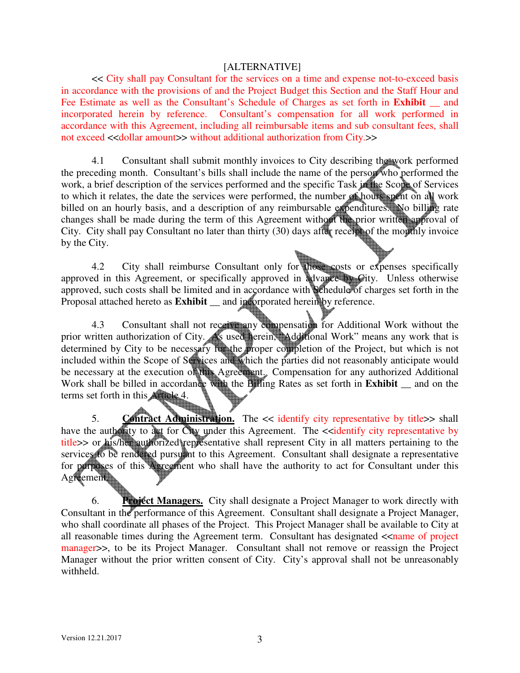#### [ALTERNATIVE]

<< City shall pay Consultant for the services on a time and expense not-to-exceed basis in accordance with the provisions of and the Project Budget this Section and the Staff Hour and Fee Estimate as well as the Consultant's Schedule of Charges as set forth in **Exhibit** \_\_ and incorporated herein by reference. Consultant's compensation for all work performed in accordance with this Agreement, including all reimbursable items and sub consultant fees, shall not exceed <<dollar amount>> without additional authorization from City.>>

4.1 Consultant shall submit monthly invoices to City describing the work performed the preceding month. Consultant's bills shall include the name of the person who performed the work, a brief description of the services performed and the specific Task in the Scope of Services to which it relates, the date the services were performed, the number of hours spent on all work billed on an hourly basis, and a description of any reimbursable expenditures. No billing rate changes shall be made during the term of this Agreement without the prior written approval of City. City shall pay Consultant no later than thirty (30) days after receipt of the monthly invoice by the City.

4.2 City shall reimburse Consultant only for those costs or expenses specifically approved in this Agreement, or specifically approved in advance by City. Unless otherwise approved, such costs shall be limited and in accordance with Schedule of charges set forth in the Proposal attached hereto as **Exhibit \_\_** and incorporated herein by reference.

 4.3 Consultant shall not receive any compensation for Additional Work without the prior written authorization of City. As used herein, "Additional Work" means any work that is determined by City to be necessary for the proper completion of the Project, but which is not included within the Scope of Services and which the parties did not reasonably anticipate would be necessary at the execution of this Agreement. Compensation for any authorized Additional Work shall be billed in accordance with the Billing Rates as set forth in **Exhibit \_\_** and on the terms set forth in this Article 4.

5. **Contract Administration.** The << identify city representative by title>> shall have the authority to act for City under this Agreement. The  $\le$ identify city representative by title>> or his/her authorized representative shall represent City in all matters pertaining to the services to be rendered pursuant to this Agreement. Consultant shall designate a representative for purposes of this Agreement who shall have the authority to act for Consultant under this Agreement.

6. **Project Managers.** City shall designate a Project Manager to work directly with Consultant in the performance of this Agreement. Consultant shall designate a Project Manager, who shall coordinate all phases of the Project. This Project Manager shall be available to City at all reasonable times during the Agreement term. Consultant has designated  $\leq$ name of project manager>>, to be its Project Manager. Consultant shall not remove or reassign the Project Manager without the prior written consent of City. City's approval shall not be unreasonably withheld.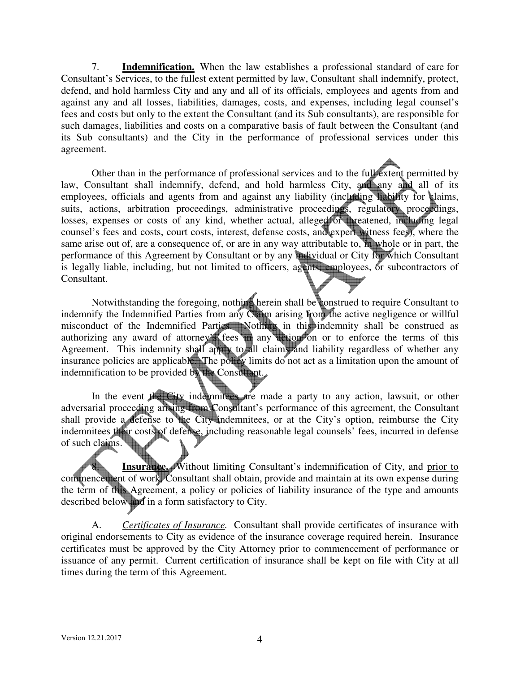7. **Indemnification.** When the law establishes a professional standard of care for Consultant's Services, to the fullest extent permitted by law, Consultant shall indemnify, protect, defend, and hold harmless City and any and all of its officials, employees and agents from and against any and all losses, liabilities, damages, costs, and expenses, including legal counsel's fees and costs but only to the extent the Consultant (and its Sub consultants), are responsible for such damages, liabilities and costs on a comparative basis of fault between the Consultant (and its Sub consultants) and the City in the performance of professional services under this agreement.

Other than in the performance of professional services and to the full extent permitted by law, Consultant shall indemnify, defend, and hold harmless City, and any and all of its employees, officials and agents from and against any liability (including liability for claims, suits, actions, arbitration proceedings, administrative proceedings, regulatory proceedings, losses, expenses or costs of any kind, whether actual, alleged or threatened, including legal counsel's fees and costs, court costs, interest, defense costs, and expert witness fees), where the same arise out of, are a consequence of, or are in any way attributable to, in whole or in part, the performance of this Agreement by Consultant or by any individual or City for which Consultant is legally liable, including, but not limited to officers, agents, employees, or subcontractors of Consultant.

 Notwithstanding the foregoing, nothing herein shall be construed to require Consultant to indemnify the Indemnified Parties from any Claim arising from the active negligence or willful misconduct of the Indemnified Parties. Nothing in this indemnity shall be construed as authorizing any award of attorney's fees in any action on or to enforce the terms of this Agreement. This indemnity shall apply to all claims and liability regardless of whether any insurance policies are applicable. The policy limits do not act as a limitation upon the amount of indemnification to be provided by the Consultant.

In the event the City indemnitees are made a party to any action, lawsuit, or other adversarial proceeding arising from Consultant's performance of this agreement, the Consultant shall provide a defense to the City indemnitees, or at the City's option, reimburse the City indemnitees their costs of defense, including reasonable legal counsels' fees, incurred in defense of such claims.

**Insurance.** Without limiting Consultant's indemnification of City, and prior to commencement of work, Consultant shall obtain, provide and maintain at its own expense during the term of this Agreement, a policy or policies of liability insurance of the type and amounts described below and in a form satisfactory to City.

 A. *Certificates of Insurance.* Consultant shall provide certificates of insurance with original endorsements to City as evidence of the insurance coverage required herein. Insurance certificates must be approved by the City Attorney prior to commencement of performance or issuance of any permit. Current certification of insurance shall be kept on file with City at all times during the term of this Agreement.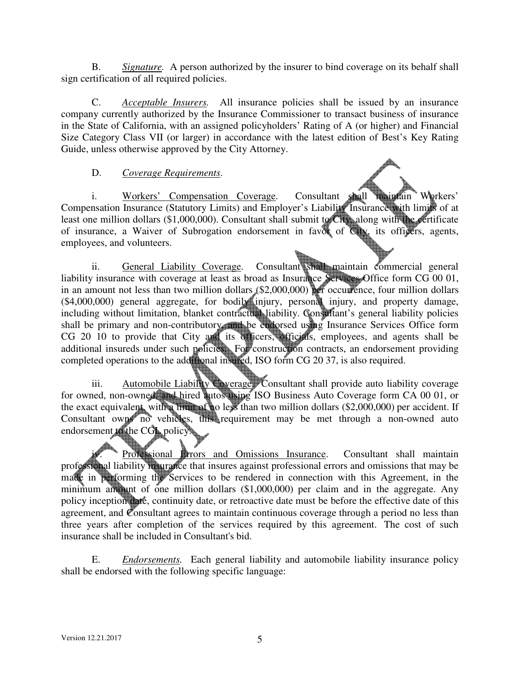B. *Signature.* A person authorized by the insurer to bind coverage on its behalf shall sign certification of all required policies.

 C. *Acceptable Insurers.* All insurance policies shall be issued by an insurance company currently authorized by the Insurance Commissioner to transact business of insurance in the State of California, with an assigned policyholders' Rating of A (or higher) and Financial Size Category Class VII (or larger) in accordance with the latest edition of Best's Key Rating Guide, unless otherwise approved by the City Attorney.

# D. *Coverage Requirements*.

 i. Workers' Compensation Coverage. Consultant shall maintain Workers' Compensation Insurance (Statutory Limits) and Employer's Liability Insurance with limits of at least one million dollars (\$1,000,000). Consultant shall submit to City, along with the certificate of insurance, a Waiver of Subrogation endorsement in favor of City, its officers, agents, employees, and volunteers.

ii. General Liability Coverage. Consultant shall maintain commercial general liability insurance with coverage at least as broad as Insurance Services Office form CG 00 01, in an amount not less than two million dollars (\$2,000,000) per occurrence, four million dollars (\$4,000,000) general aggregate, for bodily injury, personal injury, and property damage, including without limitation, blanket contractual liability. Consultant's general liability policies shall be primary and non-contributory, and be endorsed using Insurance Services Office form CG 20 10 to provide that City and its officers, officials, employees, and agents shall be additional insureds under such policies. For construction contracts, an endorsement providing completed operations to the additional insured, ISO form CG 20 37, is also required.

 iii. Automobile Liability Coverage. Consultant shall provide auto liability coverage for owned, non-owned, and hired autos using ISO Business Auto Coverage form CA 00 01, or the exact equivalent, with a limit of no less than two million dollars (\$2,000,000) per accident. If Consultant owns no vehicles, this requirement may be met through a non-owned auto endorsement to the CGL policy.

Professional Errors and Omissions Insurance. Consultant shall maintain professional liability insurance that insures against professional errors and omissions that may be made in performing the Services to be rendered in connection with this Agreement, in the minimum amount of one million dollars (\$1,000,000) per claim and in the aggregate. Any policy inception date, continuity date, or retroactive date must be before the effective date of this agreement, and Consultant agrees to maintain continuous coverage through a period no less than three years after completion of the services required by this agreement. The cost of such insurance shall be included in Consultant's bid.

 E. *Endorsements.* Each general liability and automobile liability insurance policy shall be endorsed with the following specific language: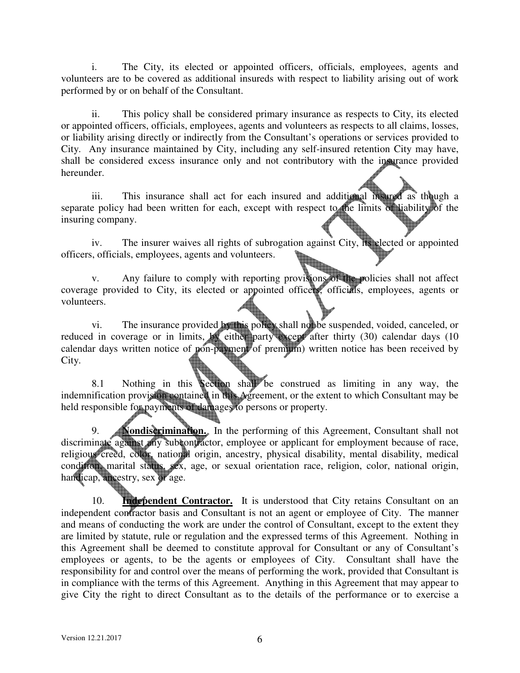i. The City, its elected or appointed officers, officials, employees, agents and volunteers are to be covered as additional insureds with respect to liability arising out of work performed by or on behalf of the Consultant.

 ii. This policy shall be considered primary insurance as respects to City, its elected or appointed officers, officials, employees, agents and volunteers as respects to all claims, losses, or liability arising directly or indirectly from the Consultant's operations or services provided to City. Any insurance maintained by City, including any self-insured retention City may have, shall be considered excess insurance only and not contributory with the insurance provided hereunder.

iii. This insurance shall act for each insured and additional insured as though a separate policy had been written for each, except with respect to the limits of liability of the insuring company.

 iv. The insurer waives all rights of subrogation against City, its elected or appointed officers, officials, employees, agents and volunteers.

v. Any failure to comply with reporting provisions of the policies shall not affect coverage provided to City, its elected or appointed officers, officials, employees, agents or volunteers.

vi. The insurance provided by this policy shall not be suspended, voided, canceled, or reduced in coverage or in limits, by either party except after thirty (30) calendar days (10 calendar days written notice of pon-payment of premium) written notice has been received by City.

8.1 Nothing in this Section shall be construed as limiting in any way, the indemnification provision contained in this Agreement, or the extent to which Consultant may be held responsible for payments of damages to persons or property.

9. **Nondiscrimination.** In the performing of this Agreement, Consultant shall not discriminate against any subcontractor, employee or applicant for employment because of race, religious creed, color, national origin, ancestry, physical disability, mental disability, medical condition, marital status, sex, age, or sexual orientation race, religion, color, national origin, handicap, ancestry, sex or age.

10. **Independent Contractor.** It is understood that City retains Consultant on an independent contractor basis and Consultant is not an agent or employee of City. The manner and means of conducting the work are under the control of Consultant, except to the extent they are limited by statute, rule or regulation and the expressed terms of this Agreement. Nothing in this Agreement shall be deemed to constitute approval for Consultant or any of Consultant's employees or agents, to be the agents or employees of City. Consultant shall have the responsibility for and control over the means of performing the work, provided that Consultant is in compliance with the terms of this Agreement. Anything in this Agreement that may appear to give City the right to direct Consultant as to the details of the performance or to exercise a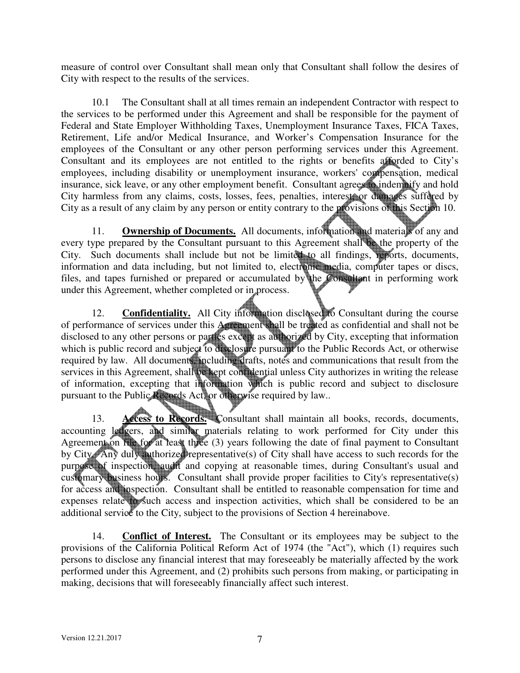measure of control over Consultant shall mean only that Consultant shall follow the desires of City with respect to the results of the services.

10.1 The Consultant shall at all times remain an independent Contractor with respect to the services to be performed under this Agreement and shall be responsible for the payment of Federal and State Employer Withholding Taxes, Unemployment Insurance Taxes, FICA Taxes, Retirement, Life and/or Medical Insurance, and Worker's Compensation Insurance for the employees of the Consultant or any other person performing services under this Agreement. Consultant and its employees are not entitled to the rights or benefits afforded to City's employees, including disability or unemployment insurance, workers' compensation, medical insurance, sick leave, or any other employment benefit. Consultant agrees to indemnify and hold City harmless from any claims, costs, losses, fees, penalties, interest, or damages suffered by City as a result of any claim by any person or entity contrary to the provisions of this Section 10.

11. **Ownership of Documents.** All documents, information and materials of any and every type prepared by the Consultant pursuant to this Agreement shall be the property of the City. Such documents shall include but not be limited to all findings, reports, documents, information and data including, but not limited to, electronic media, computer tapes or discs, files, and tapes furnished or prepared or accumulated by the Consultant in performing work under this Agreement, whether completed or in process.

12. **Confidentiality.** All City information disclosed to Consultant during the course of performance of services under this Agreement shall be treated as confidential and shall not be disclosed to any other persons or parties except as authorized by City, excepting that information which is public record and subject to disclosure pursuant to the Public Records Act, or otherwise required by law. All documents, including drafts, notes and communications that result from the services in this Agreement, shall be kept confidential unless City authorizes in writing the release of information, excepting that information which is public record and subject to disclosure pursuant to the Public Records Act, or otherwise required by law..

13. **Access to Records.** Consultant shall maintain all books, records, documents, accounting ledgers, and similar materials relating to work performed for City under this Agreement on file for at least three (3) years following the date of final payment to Consultant by City. Any duly authorized representative(s) of City shall have access to such records for the purpose of inspection, audit and copying at reasonable times, during Consultant's usual and customary business hours. Consultant shall provide proper facilities to City's representative(s) for access and inspection. Consultant shall be entitled to reasonable compensation for time and expenses relate to such access and inspection activities, which shall be considered to be an additional service to the City, subject to the provisions of Section 4 hereinabove.

 14. **Conflict of Interest.** The Consultant or its employees may be subject to the provisions of the California Political Reform Act of 1974 (the "Act"), which (1) requires such persons to disclose any financial interest that may foreseeably be materially affected by the work performed under this Agreement, and (2) prohibits such persons from making, or participating in making, decisions that will foreseeably financially affect such interest.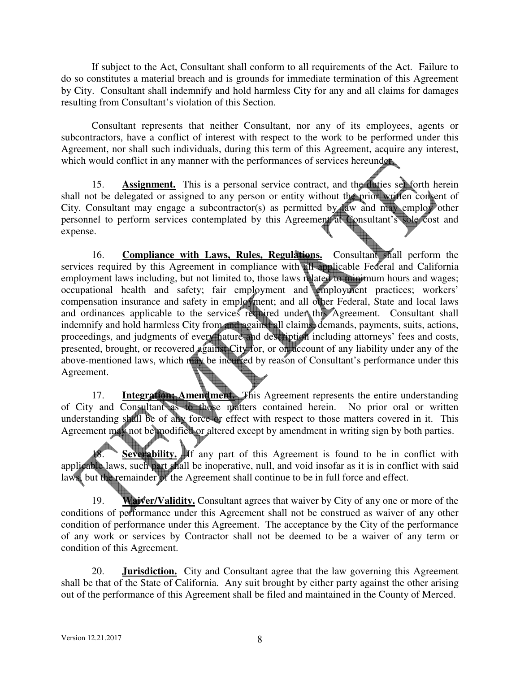If subject to the Act, Consultant shall conform to all requirements of the Act. Failure to do so constitutes a material breach and is grounds for immediate termination of this Agreement by City. Consultant shall indemnify and hold harmless City for any and all claims for damages resulting from Consultant's violation of this Section.

Consultant represents that neither Consultant, nor any of its employees, agents or subcontractors, have a conflict of interest with respect to the work to be performed under this Agreement, nor shall such individuals, during this term of this Agreement, acquire any interest, which would conflict in any manner with the performances of services hereunder.

15. **Assignment.** This is a personal service contract, and the duties set forth herein shall not be delegated or assigned to any person or entity without the prior written consent of City. Consultant may engage a subcontractor(s) as permitted by law and may employ other personnel to perform services contemplated by this Agreement at Consultant's sole cost and expense.

16. **Compliance with Laws, Rules, Regulations.** Consultant shall perform the services required by this Agreement in compliance with all applicable Federal and California employment laws including, but not limited to, those laws related to minimum hours and wages; occupational health and safety; fair employment and employment practices; workers' compensation insurance and safety in employment; and all other Federal, State and local laws and ordinances applicable to the services required under this Agreement. Consultant shall indemnify and hold harmless City from and against all claims, demands, payments, suits, actions, proceedings, and judgments of every nature and description including attorneys' fees and costs, presented, brought, or recovered against City for, or on account of any liability under any of the above-mentioned laws, which may be incurred by reason of Consultant's performance under this Agreement.

17. **Integration; Amendment.** This Agreement represents the entire understanding of City and Consultant as to those matters contained herein. No prior oral or written understanding shall be of any force or effect with respect to those matters covered in it. This Agreement may not be modified or altered except by amendment in writing sign by both parties.

**Severability.** If any part of this Agreement is found to be in conflict with applicable laws, such part shall be inoperative, null, and void insofar as it is in conflict with said laws, but the remainder of the Agreement shall continue to be in full force and effect.

19. **Waiver/Validity.** Consultant agrees that waiver by City of any one or more of the conditions of performance under this Agreement shall not be construed as waiver of any other condition of performance under this Agreement. The acceptance by the City of the performance of any work or services by Contractor shall not be deemed to be a waiver of any term or condition of this Agreement.

 20. **Jurisdiction.** City and Consultant agree that the law governing this Agreement shall be that of the State of California. Any suit brought by either party against the other arising out of the performance of this Agreement shall be filed and maintained in the County of Merced.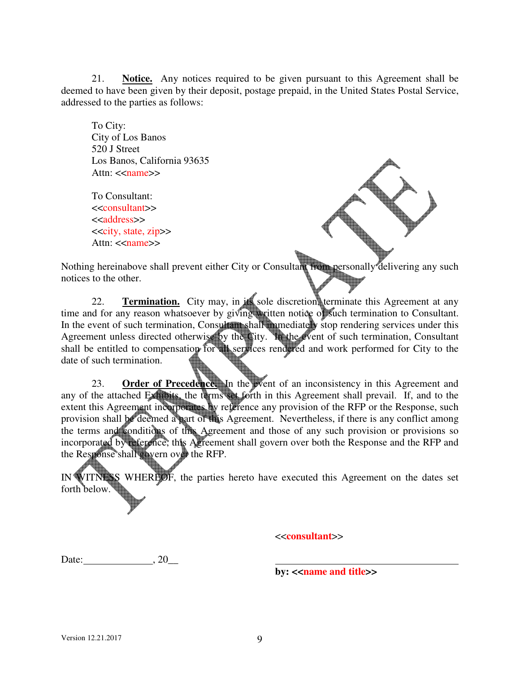21. **Notice.** Any notices required to be given pursuant to this Agreement shall be deemed to have been given by their deposit, postage prepaid, in the United States Postal Service, addressed to the parties as follows:

To City: City of Los Banos 520 J Street Los Banos, California 93635 Attn:  $\langle$ name $\rangle$ 

To Consultant: <<consultant>> <<address>> <<city, state, zip>> Attn:  $\leq$ name $\geq$ 



Nothing hereinabove shall prevent either City or Consultant from personally delivering any such notices to the other.

 22. **Termination.** City may, in its sole discretion, terminate this Agreement at any time and for any reason whatsoever by giving written notice of such termination to Consultant. In the event of such termination, Consultant shall immediately stop rendering services under this Agreement unless directed otherwise by the City. In the event of such termination, Consultant shall be entitled to compensation for all services rendered and work performed for City to the date of such termination.

23. **Order of Precedence.** In the event of an inconsistency in this Agreement and any of the attached Exhibits, the terms set forth in this Agreement shall prevail. If, and to the extent this Agreement incorporates by reference any provision of the RFP or the Response, such provision shall be deemed a part of this Agreement. Nevertheless, if there is any conflict among the terms and conditions of this Agreement and those of any such provision or provisions so incorporated by reference, this Agreement shall govern over both the Response and the RFP and the Response shall govern over the RFP.

IN WITNESS WHEREOF, the parties hereto have executed this Agreement on the dates set forth below.

<<**consultant**>>

Date:  $, 20$ 

**by:** << **name and title**>>